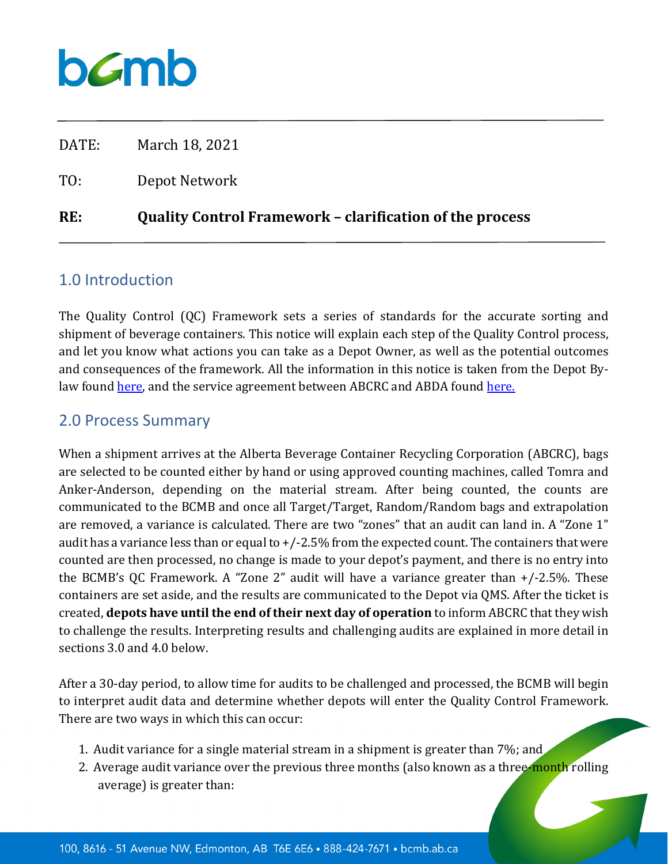DATE: March 18, 2021 TO: Depot Network **RE: Quality Control Framework – clarification of the process** 

#### 1.0 Introduction

The Quality Control (QC) Framework sets a series of standards for the accurate sorting and shipment of beverage containers. This notice will explain each step of the Quality Control process, and let you know what actions you can take as a Depot Owner, as well as the potential outcomes and consequences of the framework. All the information in this notice is taken from the Depot Bylaw found [here,](https://www.bcmb.ab.ca/uploads/source/By-laws_Current/Depot_By-law/2020.11.25.Depot.Bylaw.BOARD.APPROVED.pdf) and the service agreement between ABCRC and ABDA found [here.](https://www.bcmb.ab.ca/uploads/source/Agreements/ABCRC_%26_ABDA_Service_Agreement_/2019.09.01.ABDA.ABCRC.Service.Agreement.Signed.pdf)

#### 2.0 Process Summary

When a shipment arrives at the Alberta Beverage Container Recycling Corporation (ABCRC), bags are selected to be counted either by hand or using approved counting machines, called Tomra and Anker-Anderson, depending on the material stream. After being counted, the counts are communicated to the BCMB and once all Target/Target, Random/Random bags and extrapolation are removed, a variance is calculated. There are two "zones" that an audit can land in. A "Zone 1" audit has a variance less than or equal to +/-2.5% from the expected count. The containers that were counted are then processed, no change is made to your depot's payment, and there is no entry into the BCMB's QC Framework. A "Zone 2" audit will have a variance greater than +/-2.5%. These containers are set aside, and the results are communicated to the Depot via QMS. After the ticket is created, **depots have until the end of their next day of operation** to inform ABCRC that they wish to challenge the results. Interpreting results and challenging audits are explained in more detail in sections 3.0 and 4.0 below.

After a 30-day period, to allow time for audits to be challenged and processed, the BCMB will begin to interpret audit data and determine whether depots will enter the Quality Control Framework. There are two ways in which this can occur:

- 1. Audit variance for a single material stream in a shipment is greater than 7%; and
- 2. Average audit variance over the previous three months (also known as a three-month rolling average) is greater than: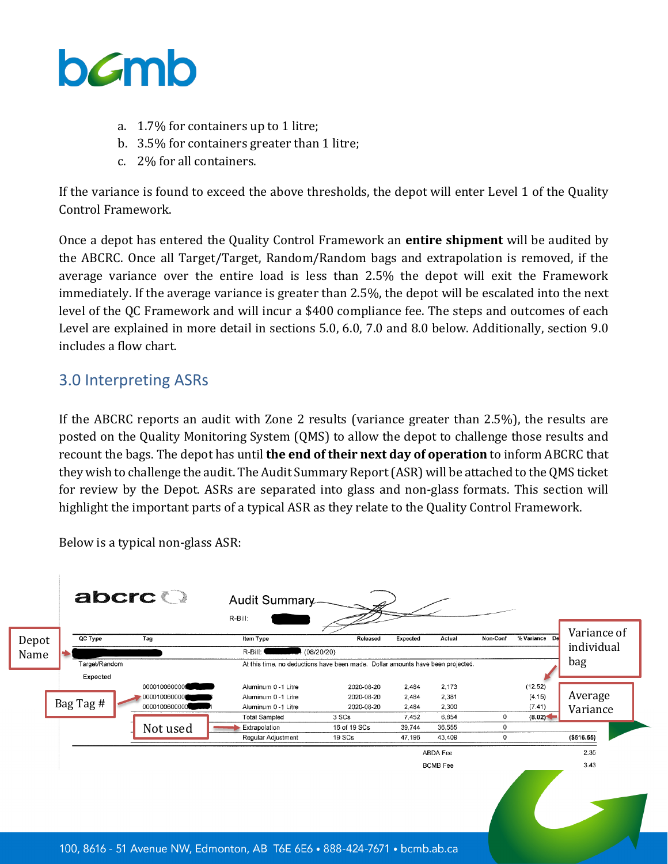

- a. 1.7% for containers up to 1 litre;
- b. 3.5% for containers greater than 1 litre;
- c. 2% for all containers.

If the variance is found to exceed the above thresholds, the depot will enter Level 1 of the Quality Control Framework.

Once a depot has entered the Quality Control Framework an **entire shipment** will be audited by the ABCRC. Once all Target/Target, Random/Random bags and extrapolation is removed, if the average variance over the entire load is less than 2.5% the depot will exit the Framework immediately. If the average variance is greater than 2.5%, the depot will be escalated into the next level of the QC Framework and will incur a \$400 compliance fee. The steps and outcomes of each Level are explained in more detail in sections 5.0, 6.0, 7.0 and 8.0 below. Additionally, section 9.0 includes a flow chart.

#### 3.0 Interpreting ASRs

If the ABCRC reports an audit with Zone 2 results (variance greater than 2.5%), the results are posted on the Quality Monitoring System (QMS) to allow the depot to challenge those results and recount the bags. The depot has until **the end of their next day of operation** to inform ABCRC that they wish to challenge the audit. The Audit Summary Report (ASR) will be attached to the QMS ticket for review by the Depot. ASRs are separated into glass and non-glass formats. This section will highlight the important parts of a typical ASR as they relate to the Quality Control Framework.

Below is a typical non-glass ASR:

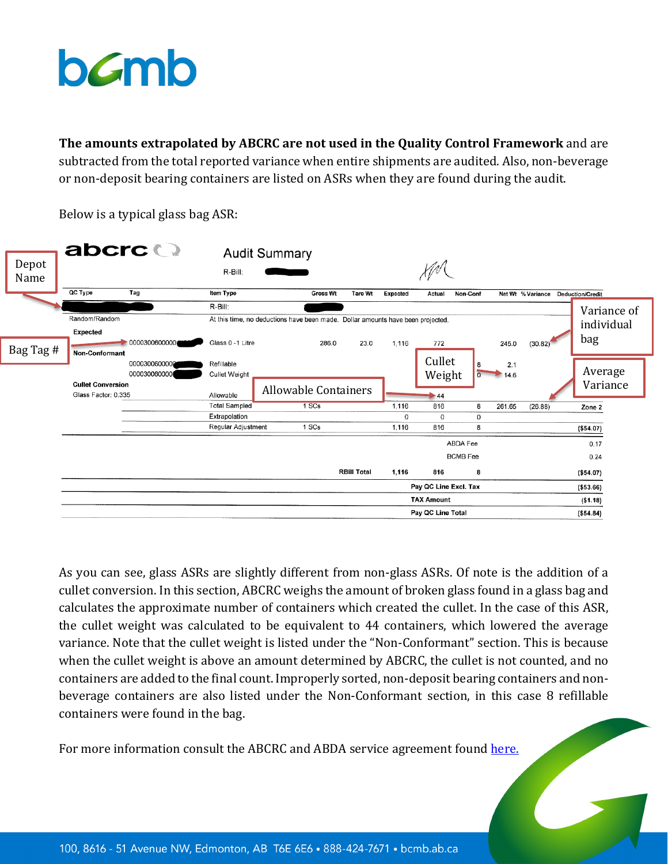**The amounts extrapolated by ABCRC are not used in the Quality Control Framework** and are subtracted from the total reported variance when entire shipments are audited. Also, non-beverage or non-deposit bearing containers are listed on ASRs when they are found during the audit.



Below is a typical glass bag ASR:

As you can see, glass ASRs are slightly different from non-glass ASRs. Of note is the addition of a cullet conversion. In this section, ABCRC weighs the amount of broken glass found in a glass bag and calculates the approximate number of containers which created the cullet. In the case of this ASR, the cullet weight was calculated to be equivalent to 44 containers, which lowered the average variance. Note that the cullet weight is listed under the "Non-Conformant" section. This is because when the cullet weight is above an amount determined by ABCRC, the cullet is not counted, and no containers are added to the final count. Improperly sorted, non-deposit bearing containers and nonbeverage containers are also listed under the Non-Conformant section, in this case 8 refillable containers were found in the bag.

For more information consult the ABCRC and ABDA service agreement found [here.](https://www.bcmb.ab.ca/uploads/source/Agreements/ABCRC_%26_ABDA_Service_Agreement_/2019.09.01.ABDA.ABCRC.Service.Agreement.Signed.pdf)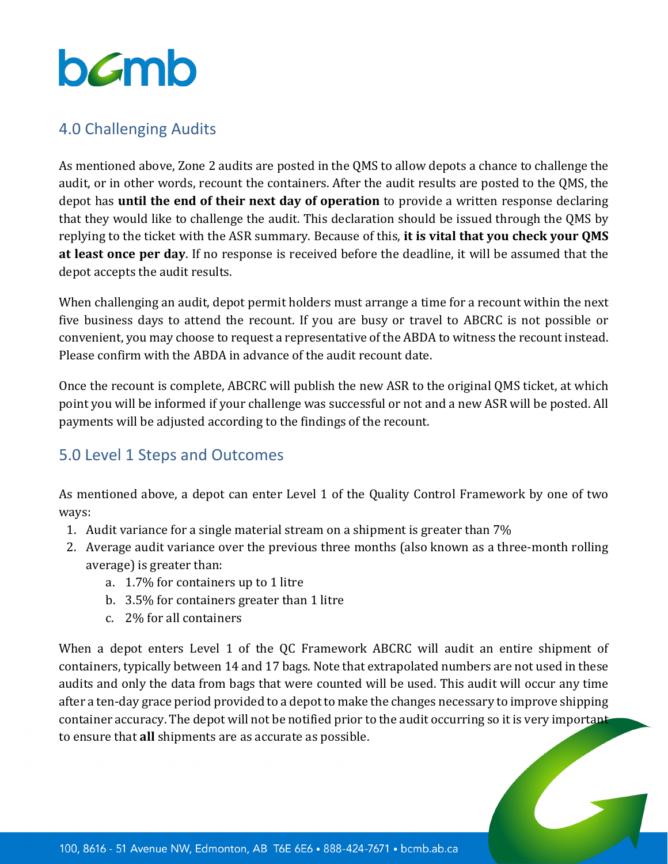

#### 4.0 Challenging Audits

As mentioned above, Zone 2 audits are posted in the QMS to allow depots a chance to challenge the audit, or in other words, recount the containers. After the audit results are posted to the QMS, the depot has **until the end of their next day of operation** to provide a written response declaring that they would like to challenge the audit. This declaration should be issued through the QMS by replying to the ticket with the ASR summary. Because of this, **it is vital that you check your QMS at least once per day**. If no response is received before the deadline, it will be assumed that the depot accepts the audit results.

When challenging an audit, depot permit holders must arrange a time for a recount within the next five business days to attend the recount. If you are busy or travel to ABCRC is not possible or convenient, you may choose to request a representative of the ABDA to witness the recount instead. Please confirm with the ABDA in advance of the audit recount date.

Once the recount is complete, ABCRC will publish the new ASR to the original QMS ticket, at which point you will be informed if your challenge was successful or not and a new ASR will be posted. All payments will be adjusted according to the findings of the recount.

### 5.0 Level 1 Steps and Outcomes

As mentioned above, a depot can enter Level 1 of the Quality Control Framework by one of two ways:

- 1. Audit variance for a single material stream on a shipment is greater than 7%
- 2. Average audit variance over the previous three months (also known as a three-month rolling average) is greater than:
	- a. 1.7% for containers up to 1 litre
	- b. 3.5% for containers greater than 1 litre
	- c. 2% for all containers

When a depot enters Level 1 of the QC Framework ABCRC will audit an entire shipment of containers, typically between 14 and 17 bags. Note that extrapolated numbers are not used in these audits and only the data from bags that were counted will be used. This audit will occur any time after a ten-day grace period provided to a depot to make the changes necessary to improve shipping container accuracy. The depot will not be notified prior to the audit occurring so it is very important to ensure that **all** shipments are as accurate as possible.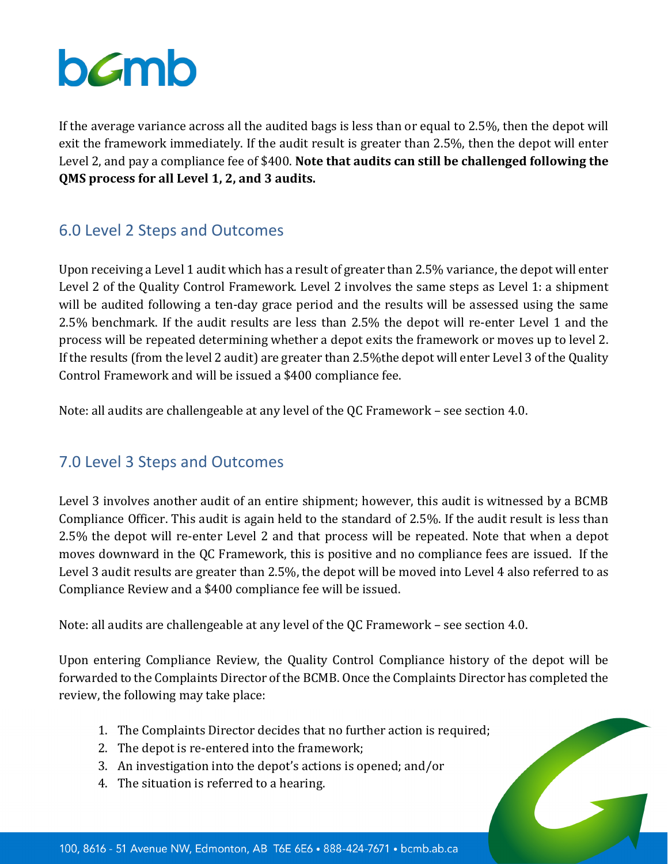If the average variance across all the audited bags is less than or equal to 2.5%, then the depot will exit the framework immediately. If the audit result is greater than 2.5%, then the depot will enter Level 2, and pay a compliance fee of \$400. **Note that audits can still be challenged following the QMS process for all Level 1, 2, and 3 audits.**

## 6.0 Level 2 Steps and Outcomes

Upon receiving a Level 1 audit which has a result of greater than 2.5% variance, the depot will enter Level 2 of the Quality Control Framework. Level 2 involves the same steps as Level 1: a shipment will be audited following a ten-day grace period and the results will be assessed using the same 2.5% benchmark. If the audit results are less than 2.5% the depot will re-enter Level 1 and the process will be repeated determining whether a depot exits the framework or moves up to level 2. If the results (from the level 2 audit) are greater than 2.5%the depot will enter Level 3 of the Quality Control Framework and will be issued a \$400 compliance fee.

Note: all audits are challengeable at any level of the QC Framework – see section 4.0.

### 7.0 Level 3 Steps and Outcomes

Level 3 involves another audit of an entire shipment; however, this audit is witnessed by a BCMB Compliance Officer. This audit is again held to the standard of 2.5%. If the audit result is less than 2.5% the depot will re-enter Level 2 and that process will be repeated. Note that when a depot moves downward in the QC Framework, this is positive and no compliance fees are issued. If the Level 3 audit results are greater than 2.5%, the depot will be moved into Level 4 also referred to as Compliance Review and a \$400 compliance fee will be issued.

Note: all audits are challengeable at any level of the QC Framework – see section 4.0.

Upon entering Compliance Review, the Quality Control Compliance history of the depot will be forwarded to the Complaints Director of the BCMB. Once the Complaints Director has completed the review, the following may take place:

- 1. The Complaints Director decides that no further action is required;
- 2. The depot is re-entered into the framework;
- 3. An investigation into the depot's actions is opened; and/or
- 4. The situation is referred to a hearing.